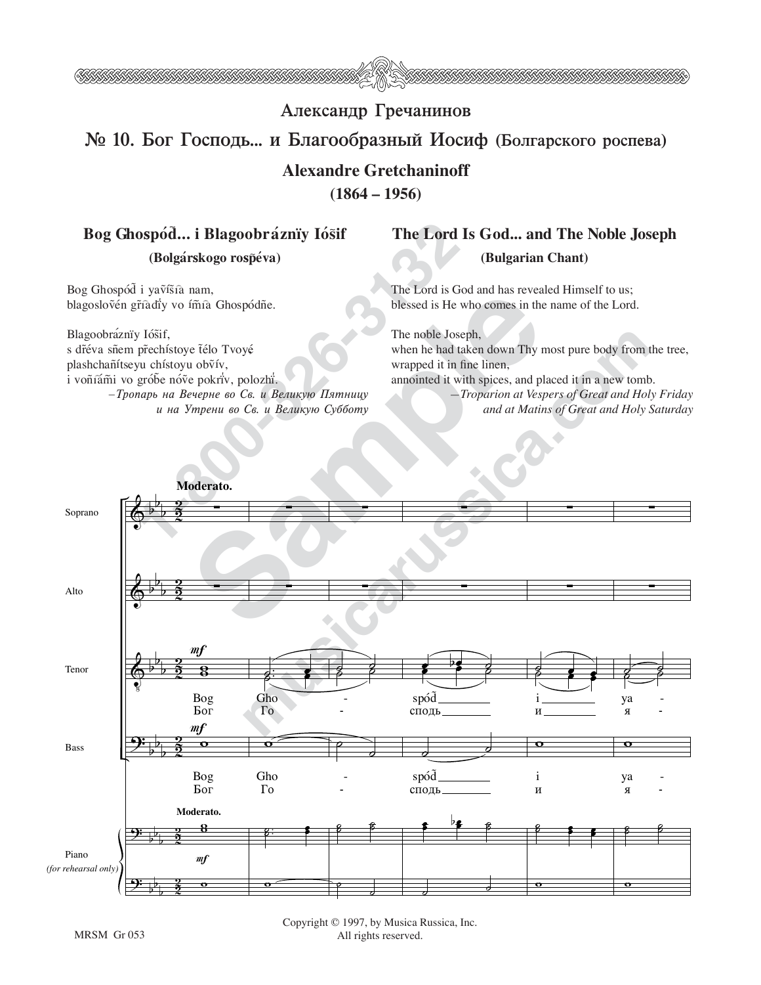

## Александр Гречанинов  $\mathbb{N}$  10. Бог Господь... и Благообразный Иосиф (Болгарского роспева) **Alexandre Gretchaninoff**

**(1864 – 1956)**

## Bog Ghospód... i Blagoobráznïy Iósif (Bolgárskogo rospéva)

Bog Ghospód i yavísia nam, blagoslovén gříadiy vo ímía Ghospódñe.

Blagoobráznïy Iósif, s dr̃éva sñem pr̃echístoye télo Tvoyé plashchañítseyu chístoyu ob $\tilde{v}$ ív, i voñíám̃i vo grób̃e nóṽe pokri̇́v, polozhi̇́. *—Tropar≤ na Veherne vo Sv. i Veliku¨ Påtnicu и на Утрени во Св. и Великую Субботу* 

## **The Lord Is God... and The Noble Joseph (Bulgarian Chant)**

The Lord is God and has revealed Himself to us; blessed is He who comes in the name of the Lord.

The noble Joseph, when he had taken down Thy most pure body from the tree, wrapped it in fine linen, annointed it with spices, and placed it in a new tomb. *—Troparion at Vespers of Great and Holy Friday*

*and at Matins of Great and Holy Saturday*

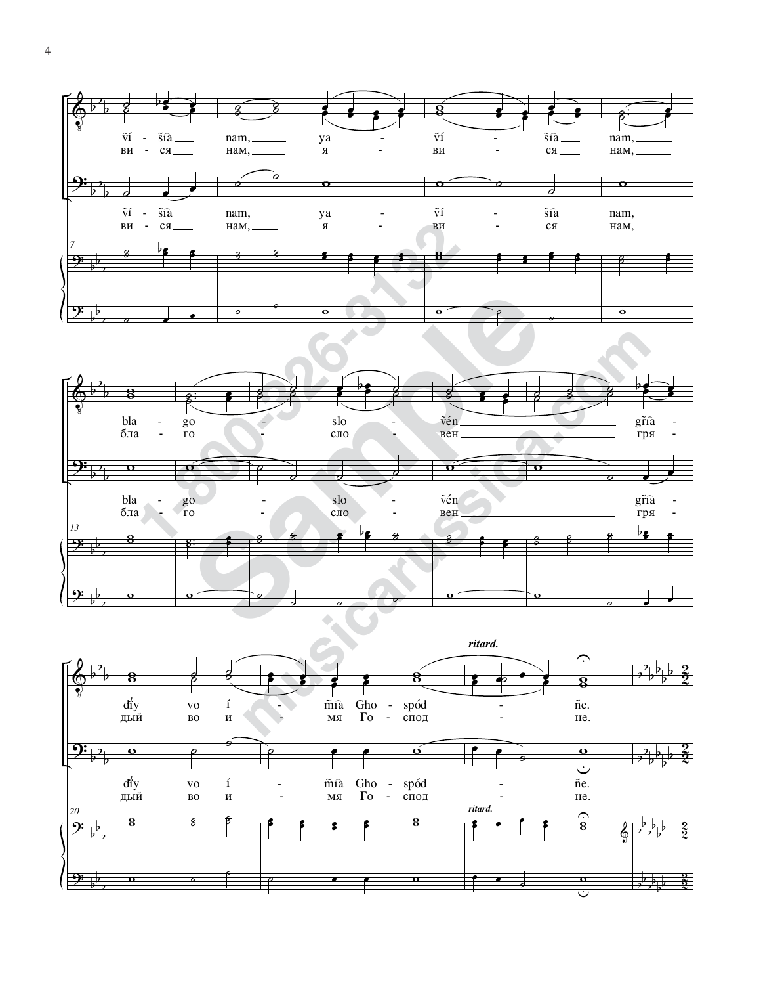



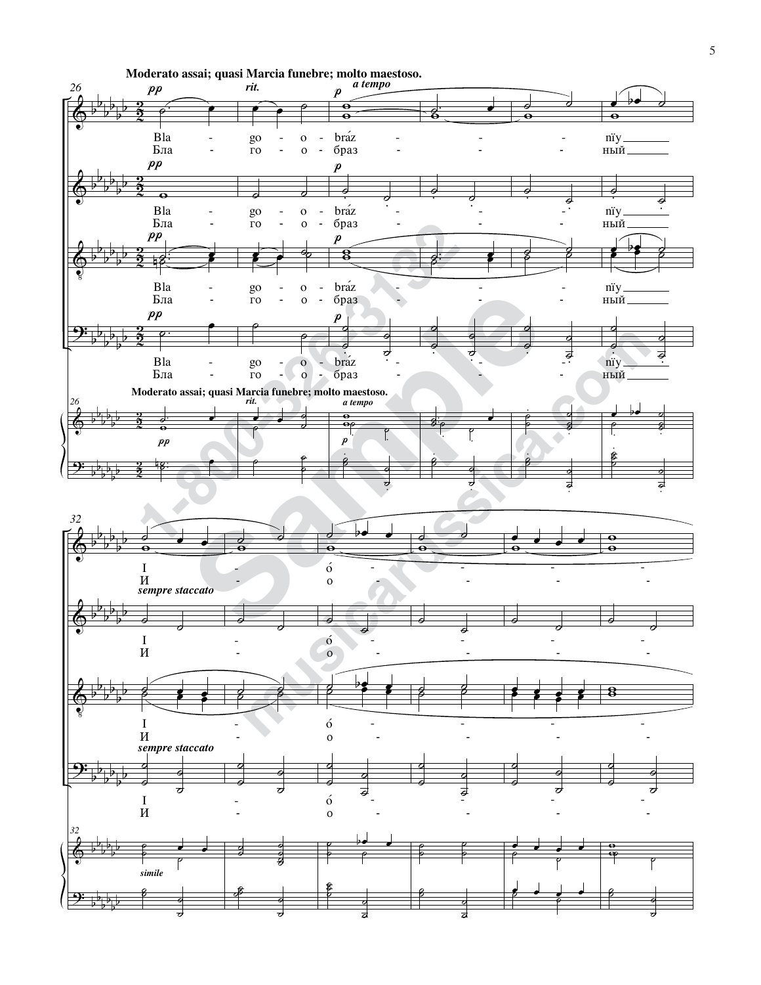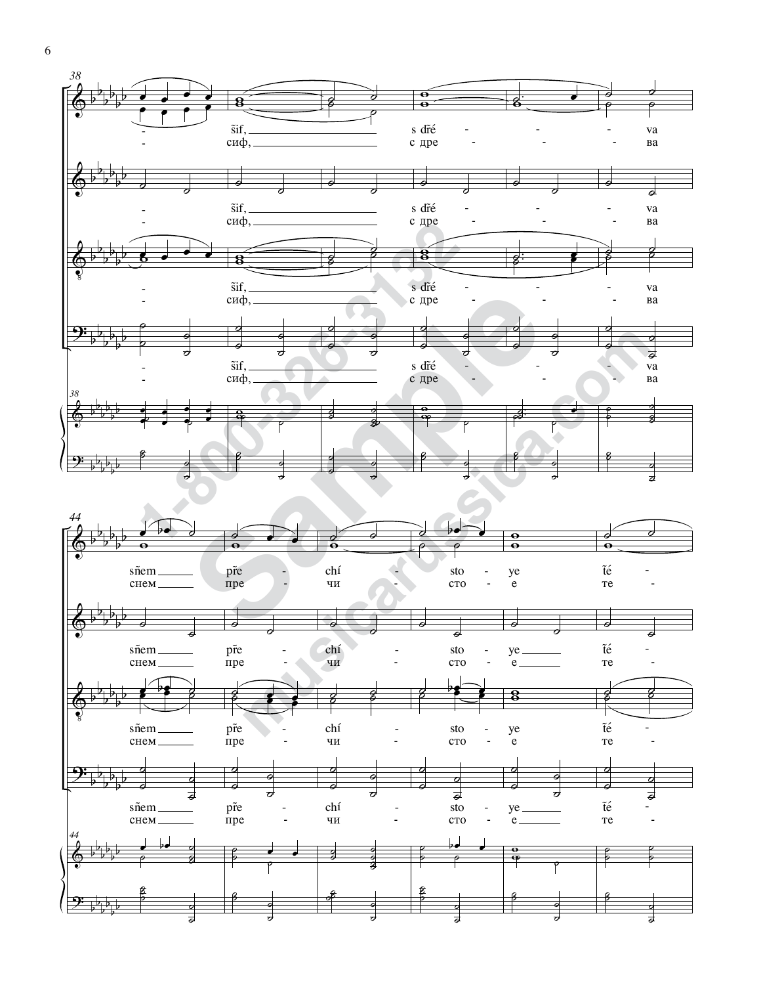

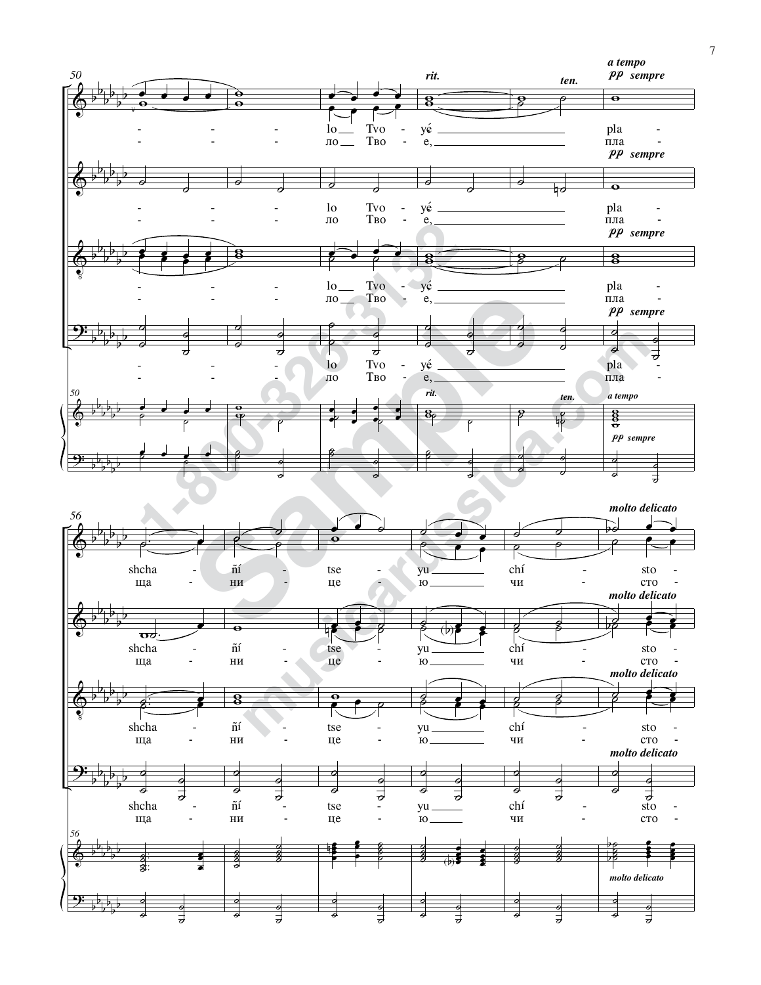

7